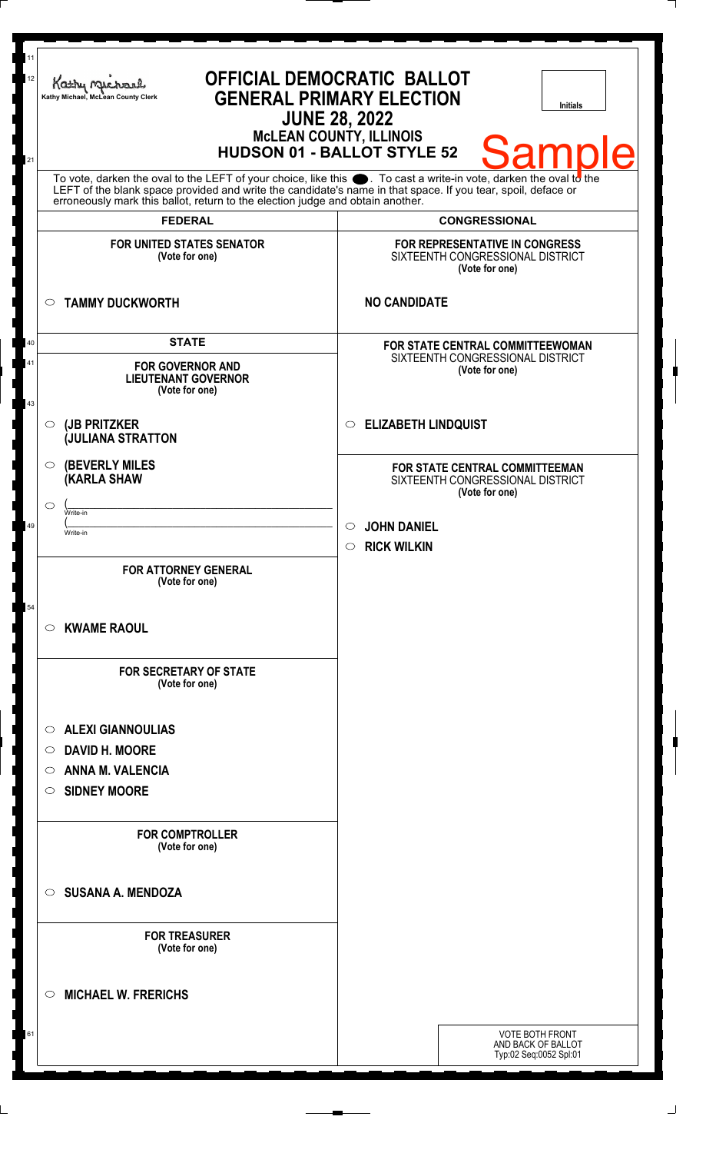| 11<br>12<br>21 | Kathy My<br>Kathy Michael, McLean County Clerk<br><b>JUNE 28, 2022</b>                                                                                                                                                                                                                                                             | <b>OFFICIAL DEMOCRATIC BALLOT</b><br><b>GENERAL PRIMARY ELECTION</b><br><b>Initials</b><br><b>McLEAN COUNTY, ILLINOIS</b><br>Samı<br><b>HUDSON 01 - BALLOT STYLE 52</b> |
|----------------|------------------------------------------------------------------------------------------------------------------------------------------------------------------------------------------------------------------------------------------------------------------------------------------------------------------------------------|-------------------------------------------------------------------------------------------------------------------------------------------------------------------------|
|                | To vote, darken the oval to the LEFT of your choice, like this section To cast a write-in vote, darken the oval to the LEFT of the blank space provided and write the candidate's name in that space. If you tear, spoil, defa<br>erroneously mark this ballot, return to the election judge and obtain another.<br><b>FEDERAL</b> |                                                                                                                                                                         |
|                | <b>FOR UNITED STATES SENATOR</b><br>(Vote for one)                                                                                                                                                                                                                                                                                 | <b>CONGRESSIONAL</b><br>FOR REPRESENTATIVE IN CONGRESS<br>SIXTEENTH CONGRESSIONAL DISTRICT<br>(Vote for one)                                                            |
|                | <b>TAMMY DUCKWORTH</b><br>$\circ$                                                                                                                                                                                                                                                                                                  | <b>NO CANDIDATE</b>                                                                                                                                                     |
| 40<br>41<br>43 | <b>STATE</b><br><b>FOR GOVERNOR AND</b><br><b>LIEUTENANT GOVERNOR</b><br>(Vote for one)                                                                                                                                                                                                                                            | FOR STATE CENTRAL COMMITTEEWOMAN<br>SIXTEENTH CONGRESSIONAL DISTRICT<br>(Vote for one)                                                                                  |
|                | (JB PRITZKER<br>O<br><b>JULIANA STRATTON</b>                                                                                                                                                                                                                                                                                       | <b>ELIZABETH LINDQUIST</b><br>$\circ$                                                                                                                                   |
| 49             | <b>(BEVERLY MILES)</b><br>O<br>(KARLA SHAW<br>⌒<br>Write-in<br>Write-in                                                                                                                                                                                                                                                            | FOR STATE CENTRAL COMMITTEEMAN<br>SIXTEENTH CONGRESSIONAL DISTRICT<br>(Vote for one)<br><b>JOHN DANIEL</b><br>$\circ$                                                   |
|                | <b>FOR ATTORNEY GENERAL</b><br>(Vote for one)                                                                                                                                                                                                                                                                                      | $\circ$ RICK WILKIN                                                                                                                                                     |
| 54             | <b>KWAME RAOUL</b><br>$\circ$                                                                                                                                                                                                                                                                                                      |                                                                                                                                                                         |
|                | <b>FOR SECRETARY OF STATE</b><br>(Vote for one)                                                                                                                                                                                                                                                                                    |                                                                                                                                                                         |
|                | <b>ALEXI GIANNOULIAS</b><br>$\circ$<br><b>DAVID H. MOORE</b><br>O<br><b>ANNA M. VALENCIA</b><br>O<br><b>SIDNEY MOORE</b><br>$\circ$                                                                                                                                                                                                |                                                                                                                                                                         |
|                | <b>FOR COMPTROLLER</b><br>(Vote for one)                                                                                                                                                                                                                                                                                           |                                                                                                                                                                         |
|                | <b>SUSANA A. MENDOZA</b><br>$\bigcirc$                                                                                                                                                                                                                                                                                             |                                                                                                                                                                         |
|                | <b>FOR TREASURER</b><br>(Vote for one)                                                                                                                                                                                                                                                                                             |                                                                                                                                                                         |
|                | <b>MICHAEL W. FRERICHS</b><br>◯                                                                                                                                                                                                                                                                                                    |                                                                                                                                                                         |
| 61             |                                                                                                                                                                                                                                                                                                                                    | VOTE BOTH FRONT<br>AND BACK OF BALLOT<br>Typ:02 Seq:0052 Spl:01                                                                                                         |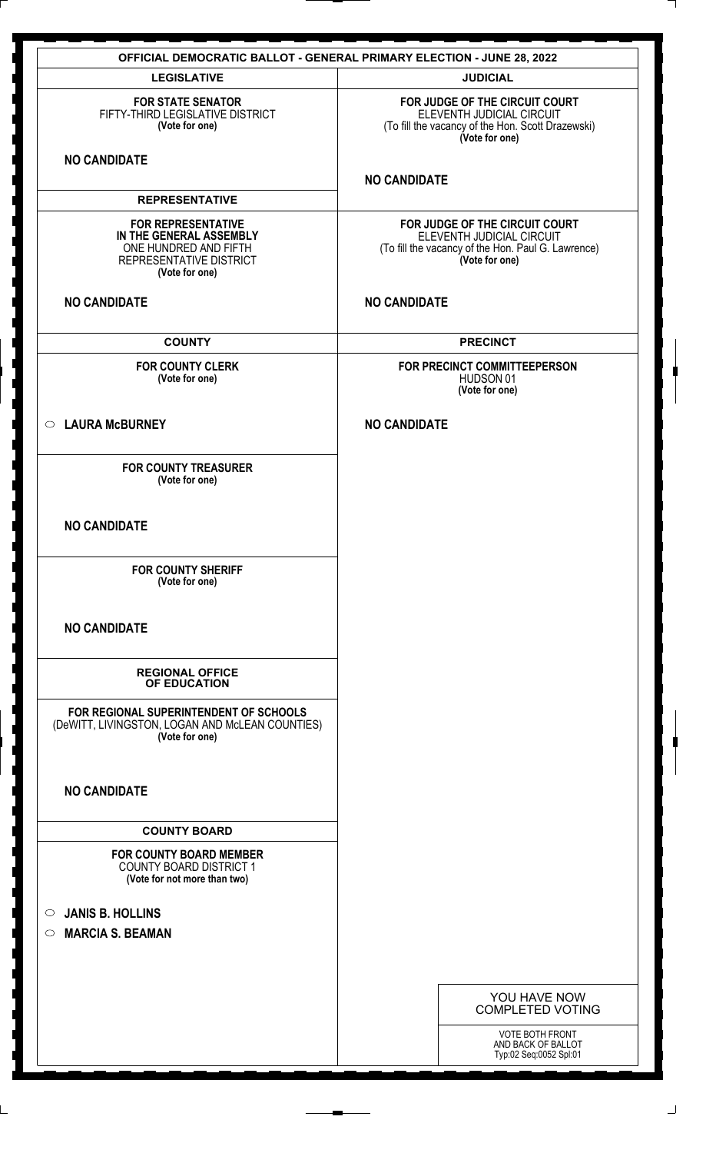|                                                                                                                            | <b>OFFICIAL DEMOCRATIC BALLOT - GENERAL PRIMARY ELECTION - JUNE 28, 2022</b>                                                        |
|----------------------------------------------------------------------------------------------------------------------------|-------------------------------------------------------------------------------------------------------------------------------------|
| <b>LEGISLATIVE</b>                                                                                                         | <b>JUDICIAL</b>                                                                                                                     |
| <b>FOR STATE SENATOR</b><br>FIFTY-THIRD LEGISLATIVE DISTRICT<br>(Vote for one)                                             | FOR JUDGE OF THE CIRCUIT COURT<br>ELEVENTH JUDICIAL CIRCUIT<br>(To fill the vacancy of the Hon. Scott Drazewski)<br>(Vote for one)  |
| <b>NO CANDIDATE</b>                                                                                                        | <b>NO CANDIDATE</b>                                                                                                                 |
| <b>REPRESENTATIVE</b>                                                                                                      |                                                                                                                                     |
| <b>FOR REPRESENTATIVE</b><br>IN THE GENERAL ASSEMBLY<br>ONE HUNDRED AND FIFTH<br>REPRESENTATIVE DISTRICT<br>(Vote for one) | FOR JUDGE OF THE CIRCUIT COURT<br>ELEVENTH JUDICIAL CIRCUIT<br>(To fill the vacancy of the Hon. Paul G. Lawrence)<br>(Vote for one) |
| <b>NO CANDIDATE</b>                                                                                                        | <b>NO CANDIDATE</b>                                                                                                                 |
| <b>COUNTY</b>                                                                                                              | <b>PRECINCT</b>                                                                                                                     |
| <b>FOR COUNTY CLERK</b><br>(Vote for one)                                                                                  | FOR PRECINCT COMMITTEEPERSON<br>HUDSON 01<br>(Vote for one)                                                                         |
| <b>LAURA McBURNEY</b><br>$\circ$                                                                                           | <b>NO CANDIDATE</b>                                                                                                                 |
| <b>FOR COUNTY TREASURER</b><br>(Vote for one)                                                                              |                                                                                                                                     |
| <b>NO CANDIDATE</b>                                                                                                        |                                                                                                                                     |
| <b>FOR COUNTY SHERIFF</b><br>(Vote for one)                                                                                |                                                                                                                                     |
| <b>NO CANDIDATE</b>                                                                                                        |                                                                                                                                     |
| <b>REGIONAL OFFICE</b><br>OF EDUCATION                                                                                     |                                                                                                                                     |
| FOR REGIONAL SUPERINTENDENT OF SCHOOLS<br>(DeWITT, LIVINGSTON, LOGAN AND McLEAN COUNTIES)<br>(Vote for one)                |                                                                                                                                     |
| <b>NO CANDIDATE</b>                                                                                                        |                                                                                                                                     |
| <b>COUNTY BOARD</b>                                                                                                        |                                                                                                                                     |
| <b>FOR COUNTY BOARD MEMBER</b><br><b>COUNTY BOARD DISTRICT 1</b><br>(Vote for not more than two)                           |                                                                                                                                     |
| <b>JANIS B. HOLLINS</b><br>$\circ$                                                                                         |                                                                                                                                     |
| <b>MARCIA S. BEAMAN</b><br>$\circ$                                                                                         |                                                                                                                                     |
|                                                                                                                            |                                                                                                                                     |
|                                                                                                                            |                                                                                                                                     |
|                                                                                                                            | YOU HAVE NOW<br><b>COMPLETED VOTING</b>                                                                                             |
|                                                                                                                            | VOTE BOTH FRONT<br>AND BACK OF BALLOT<br>Typ:02 Seq:0052 Spl:01                                                                     |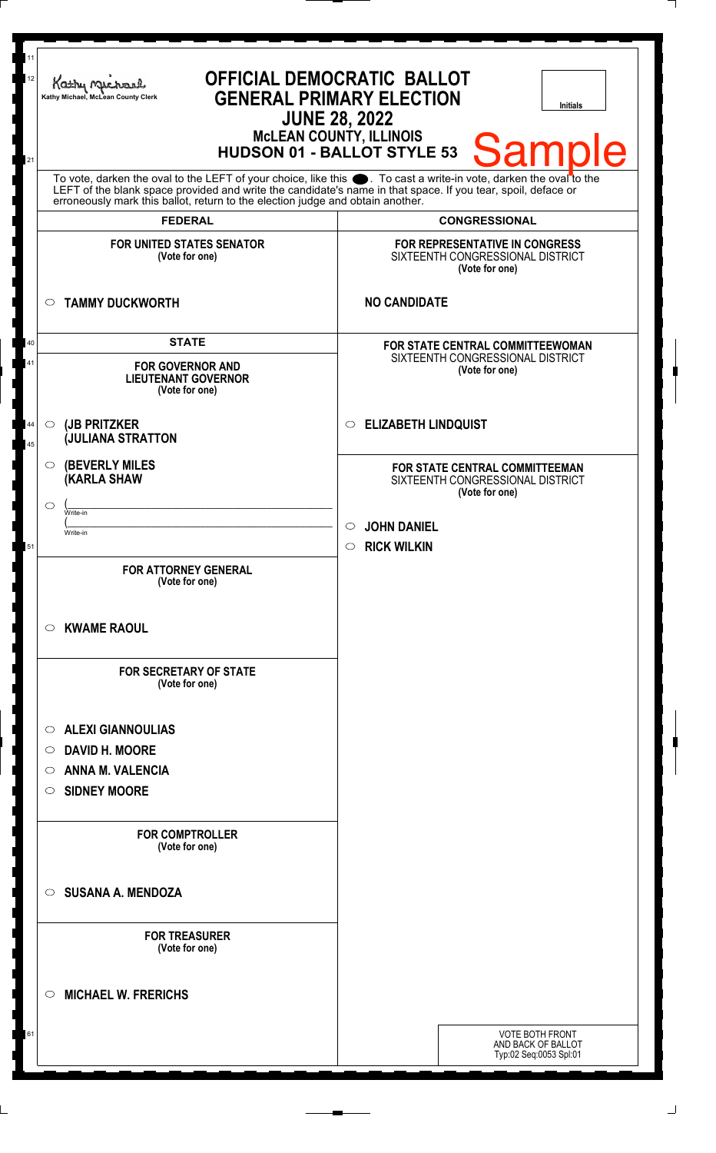| <b>OFFICIAL DEMOCRATIC BALLOT</b><br>Kathy My<br><b>GENERAL PRIMARY ELECTION</b><br>Kathy Michael, McLean County Clerk<br><b>Initials</b><br><b>JUNE 28, 2022</b><br>McLEAN COUNTY, ILLINOIS<br>HUDSON 01 - BALLOT STYLE 53<br><b>Sample</b><br>To vote, darken the oval to the LEFT of your choice, like this $\bullet$ . To cast a write-in vote, darken the oval to the LEFT of the blank space provided and write the candidate's name in that space. If you tear, spoil, deface |                                                                                                                                                        |
|--------------------------------------------------------------------------------------------------------------------------------------------------------------------------------------------------------------------------------------------------------------------------------------------------------------------------------------------------------------------------------------------------------------------------------------------------------------------------------------|--------------------------------------------------------------------------------------------------------------------------------------------------------|
| erroneously mark this ballot, return to the election judge and obtain another.<br><b>FEDERAL</b>                                                                                                                                                                                                                                                                                                                                                                                     | <b>CONGRESSIONAL</b>                                                                                                                                   |
| <b>FOR UNITED STATES SENATOR</b><br>(Vote for one)                                                                                                                                                                                                                                                                                                                                                                                                                                   | <b>FOR REPRESENTATIVE IN CONGRESS</b><br>SIXTEENTH CONGRESSIONAL DISTRICT<br>(Vote for one)                                                            |
| <b>TAMMY DUCKWORTH</b><br>$\circ$                                                                                                                                                                                                                                                                                                                                                                                                                                                    | <b>NO CANDIDATE</b>                                                                                                                                    |
| <b>STATE</b><br>40<br>41<br><b>FOR GOVERNOR AND</b><br><b>LIEUTENANT GOVERNOR</b><br>(Vote for one)                                                                                                                                                                                                                                                                                                                                                                                  | <b>FOR STATE CENTRAL COMMITTEEWOMAN</b><br>SIXTEENTH CONGRESSIONAL DISTRICT<br>(Vote for one)                                                          |
| (JB PRITZKER<br>44<br>$\circ$<br><b>JULIANA STRATTON</b><br>45                                                                                                                                                                                                                                                                                                                                                                                                                       | <b>ELIZABETH LINDQUIST</b><br>$\circ$                                                                                                                  |
| <b>(BEVERLY MILES)</b><br>$\circ$<br>(KARLA SHAW<br>◯<br>Write-in<br>Write-in<br>51<br><b>FOR ATTORNEY GENERAL</b><br>(Vote for one)<br><b>KWAME RAOUL</b><br>O<br><b>FOR SECRETARY OF STATE</b><br>(Vote for one)<br><b>ALEXI GIANNOULIAS</b><br>$\circ$<br><b>DAVID H. MOORE</b><br>O<br><b>ANNA M. VALENCIA</b><br>O                                                                                                                                                              | FOR STATE CENTRAL COMMITTEEMAN<br>SIXTEENTH CONGRESSIONAL DISTRICT<br>(Vote for one)<br><b>JOHN DANIEL</b><br>$\circ$<br><b>RICK WILKIN</b><br>$\circ$ |
| <b>SIDNEY MOORE</b><br>$\circ$<br><b>FOR COMPTROLLER</b><br>(Vote for one)<br><b>SUSANA A. MENDOZA</b><br>$\circ$<br><b>FOR TREASURER</b><br>(Vote for one)<br><b>MICHAEL W. FRERICHS</b><br>C)                                                                                                                                                                                                                                                                                      |                                                                                                                                                        |
| 61                                                                                                                                                                                                                                                                                                                                                                                                                                                                                   | <b>VOTE BOTH FRONT</b><br>AND BACK OF BALLOT<br>Typ:02 Seq:0053 Spl:01                                                                                 |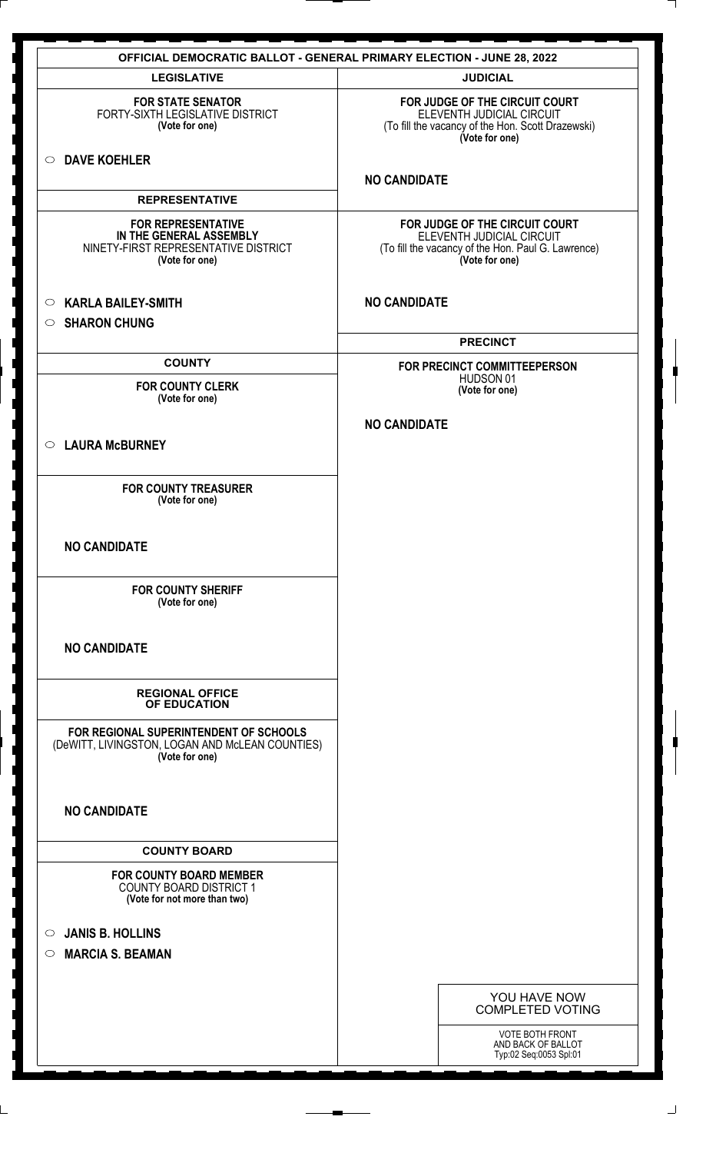| <b>OFFICIAL DEMOCRATIC BALLOT - GENERAL PRIMARY ELECTION - JUNE 28, 2022</b>                                   |                                                                                                                                     |
|----------------------------------------------------------------------------------------------------------------|-------------------------------------------------------------------------------------------------------------------------------------|
| <b>LEGISLATIVE</b>                                                                                             | <b>JUDICIAL</b>                                                                                                                     |
| <b>FOR STATE SENATOR</b><br>FORTY-SIXTH LEGISLATIVE DISTRICT<br>(Vote for one)                                 | FOR JUDGE OF THE CIRCUIT COURT<br>ELEVENTH JUDICIAL CIRCUIT<br>(To fill the vacancy of the Hon. Scott Drazewski)<br>(Vote for one)  |
| <b>DAVE KOEHLER</b><br>$\circ$                                                                                 | <b>NO CANDIDATE</b>                                                                                                                 |
| <b>REPRESENTATIVE</b>                                                                                          |                                                                                                                                     |
| <b>FOR REPRESENTATIVE</b><br>IN THE GENERAL ASSEMBLY<br>NINETY-FIRST REPRESENTATIVE DISTRICT<br>(Vote for one) | FOR JUDGE OF THE CIRCUIT COURT<br>ELEVENTH JUDICIAL CIRCUIT<br>(To fill the vacancy of the Hon. Paul G. Lawrence)<br>(Vote for one) |
| <b>KARLA BAILEY-SMITH</b><br>$\circ$<br><b>SHARON CHUNG</b><br>$\circ$                                         | <b>NO CANDIDATE</b>                                                                                                                 |
|                                                                                                                | <b>PRECINCT</b>                                                                                                                     |
| <b>COUNTY</b>                                                                                                  | FOR PRECINCT COMMITTEEPERSON                                                                                                        |
| <b>FOR COUNTY CLERK</b><br>(Vote for one)                                                                      | HUDSON 01<br>(Vote for one)                                                                                                         |
|                                                                                                                | <b>NO CANDIDATE</b>                                                                                                                 |
| <b>LAURA McBURNEY</b><br>$\circ$                                                                               |                                                                                                                                     |
| <b>FOR COUNTY TREASURER</b><br>(Vote for one)                                                                  |                                                                                                                                     |
| <b>NO CANDIDATE</b>                                                                                            |                                                                                                                                     |
| <b>FOR COUNTY SHERIFF</b><br>(Vote for one)                                                                    |                                                                                                                                     |
| <b>NO CANDIDATE</b>                                                                                            |                                                                                                                                     |
| <b>REGIONAL OFFICE</b><br>OF EDUCATION                                                                         |                                                                                                                                     |
| FOR REGIONAL SUPERINTENDENT OF SCHOOLS<br>(DeWITT, LIVINGSTON, LOGAN AND McLEAN COUNTIES)<br>(Vote for one)    |                                                                                                                                     |
| <b>NO CANDIDATE</b>                                                                                            |                                                                                                                                     |
| <b>COUNTY BOARD</b>                                                                                            |                                                                                                                                     |
| <b>FOR COUNTY BOARD MEMBER</b><br><b>COUNTY BOARD DISTRICT 1</b><br>(Vote for not more than two)               |                                                                                                                                     |
| <b>JANIS B. HOLLINS</b><br>$\circ$<br><b>MARCIA S. BEAMAN</b><br>$\bigcirc$                                    |                                                                                                                                     |
|                                                                                                                | YOU HAVE NOW                                                                                                                        |
|                                                                                                                | <b>COMPLETED VOTING</b>                                                                                                             |
|                                                                                                                | <b>VOTE BOTH FRONT</b><br>AND BACK OF BALLOT                                                                                        |
|                                                                                                                | Typ:02 Seq:0053 Spl:01                                                                                                              |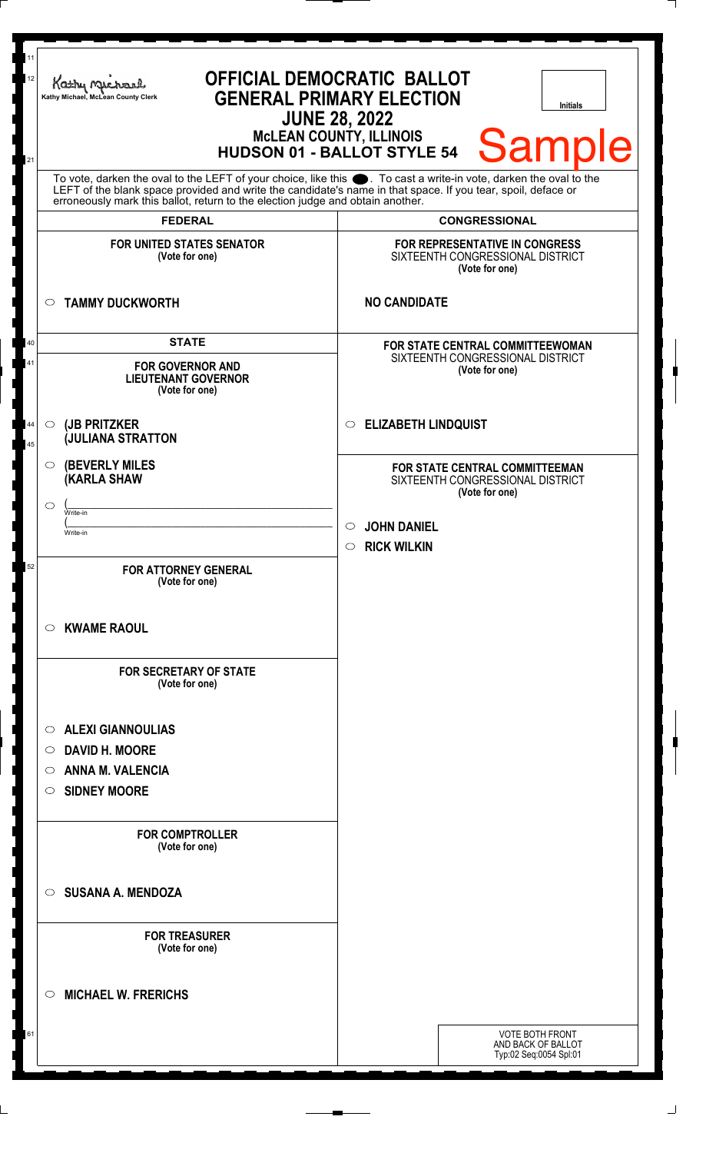| 11<br>12<br>21 | Kathy My<br>Kathy Michael, McLean County Clerk                                                                                                                                                                                                                                                                                           | <b>OFFICIAL DEMOCRATIC BALLOT</b><br><b>GENERAL PRIMARY ELECTION</b><br><b>Initials</b><br><b>JUNE 28, 2022</b><br><b>MCLEAN COUNTY, ILLINOIS</b><br><b>Sample</b><br><b>HUDSON 01 - BALLOT STYLE 54</b> |
|----------------|------------------------------------------------------------------------------------------------------------------------------------------------------------------------------------------------------------------------------------------------------------------------------------------------------------------------------------------|----------------------------------------------------------------------------------------------------------------------------------------------------------------------------------------------------------|
|                | To vote, darken the oval to the LEFT of your choice, like this $\bullet$ . To cast a write-in vote, darken the oval to the LEFT of the blank space provided and write the candidate's name in that space. If you tear, spoil, deface<br>erroneously mark this ballot, return to the election judge and obtain another.<br><b>FEDERAL</b> | <b>CONGRESSIONAL</b>                                                                                                                                                                                     |
|                | <b>FOR UNITED STATES SENATOR</b><br>(Vote for one)                                                                                                                                                                                                                                                                                       | FOR REPRESENTATIVE IN CONGRESS<br>SIXTEENTH CONGRESSIONAL DISTRICT<br>(Vote for one)                                                                                                                     |
|                | <b>TAMMY DUCKWORTH</b><br>$\circ$                                                                                                                                                                                                                                                                                                        | <b>NO CANDIDATE</b>                                                                                                                                                                                      |
| 40<br>41       | <b>STATE</b><br><b>FOR GOVERNOR AND</b><br><b>LIEUTENANT GOVERNOR</b><br>(Vote for one)                                                                                                                                                                                                                                                  | <b>FOR STATE CENTRAL COMMITTEEWOMAN</b><br>SIXTEENTH CONGRESSIONAL DISTRICT<br>(Vote for one)                                                                                                            |
| 44<br>45       | (JB PRITZKER<br>$\circ$<br><b>JULIANA STRATTON</b>                                                                                                                                                                                                                                                                                       | <b>ELIZABETH LINDQUIST</b><br>O                                                                                                                                                                          |
| 52             | <b>(BEVERLY MILES)</b><br>$\circ$<br><b>KARLA SHAW</b><br>$\circlearrowright$<br>Write-in<br>Write-in<br><b>FOR ATTORNEY GENERAL</b>                                                                                                                                                                                                     | FOR STATE CENTRAL COMMITTEEMAN<br>SIXTEENTH CONGRESSIONAL DISTRICT<br>(Vote for one)<br><b>JOHN DANIEL</b><br>$\circ$<br><b>RICK WILKIN</b><br>$\bigcirc$                                                |
|                | (Vote for one)<br><b>KWAME RAOUL</b><br>$\circ$<br><b>FOR SECRETARY OF STATE</b><br>(Vote for one)                                                                                                                                                                                                                                       |                                                                                                                                                                                                          |
|                | <b>ALEXI GIANNOULIAS</b><br>$\circ$<br><b>DAVID H. MOORE</b><br>$\circ$<br><b>ANNA M. VALENCIA</b><br>O<br><b>SIDNEY MOORE</b><br>$\circ$                                                                                                                                                                                                |                                                                                                                                                                                                          |
|                | <b>FOR COMPTROLLER</b><br>(Vote for one)<br>$\circ$                                                                                                                                                                                                                                                                                      |                                                                                                                                                                                                          |
|                | <b>SUSANA A. MENDOZA</b><br><b>FOR TREASURER</b><br>(Vote for one)                                                                                                                                                                                                                                                                       |                                                                                                                                                                                                          |
|                | <b>MICHAEL W. FRERICHS</b><br>O                                                                                                                                                                                                                                                                                                          |                                                                                                                                                                                                          |
| 61             |                                                                                                                                                                                                                                                                                                                                          | <b>VOTE BOTH FRONT</b><br>AND BACK OF BALLOT<br>Typ:02 Seq:0054 Spl:01                                                                                                                                   |

 $\perp$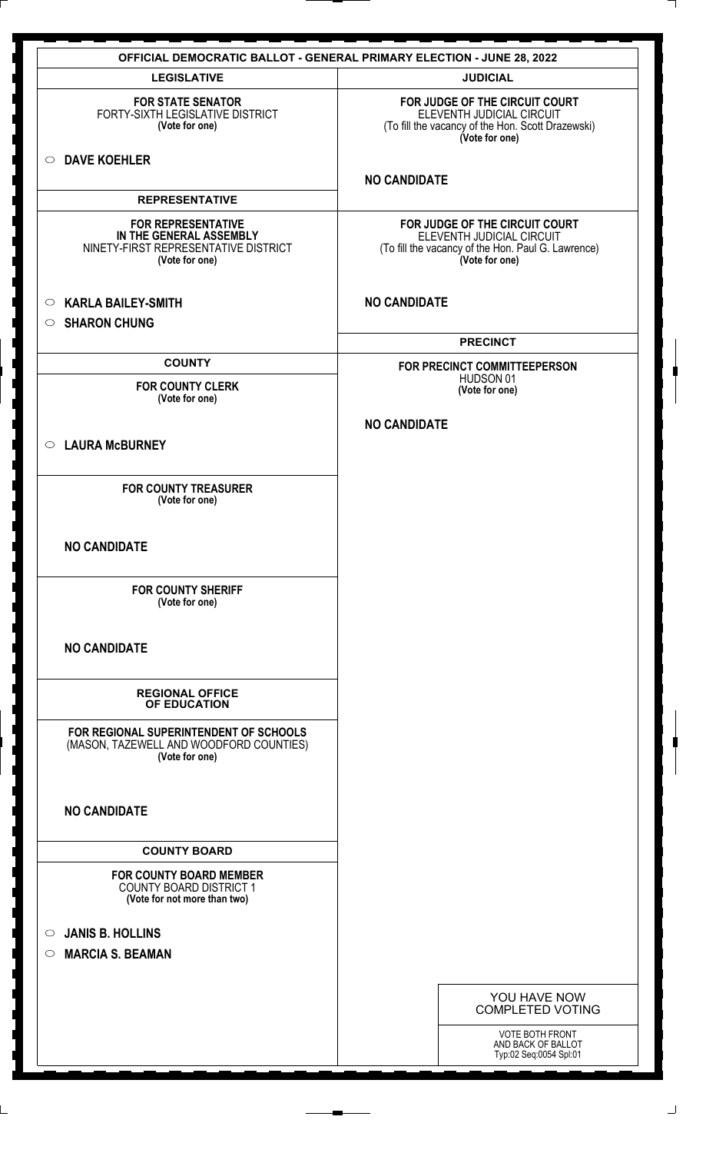|                                                                                                                | <b>OFFICIAL DEMOCRATIC BALLOT - GENERAL PRIMARY ELECTION - JUNE 28, 2022</b>                                                        |
|----------------------------------------------------------------------------------------------------------------|-------------------------------------------------------------------------------------------------------------------------------------|
| <b>LEGISLATIVE</b>                                                                                             | <b>JUDICIAL</b>                                                                                                                     |
| <b>FOR STATE SENATOR</b><br>FORTY-SIXTH LEGISLATIVE DISTRICT<br>(Vote for one)                                 | FOR JUDGE OF THE CIRCUIT COURT<br>ELEVENTH JUDICIAL CIRCUIT<br>(To fill the vacancy of the Hon. Scott Drazewski)<br>(Vote for one)  |
| <b>DAVE KOEHLER</b><br>$\circ$                                                                                 | <b>NO CANDIDATE</b>                                                                                                                 |
| <b>REPRESENTATIVE</b>                                                                                          |                                                                                                                                     |
| <b>FOR REPRESENTATIVE</b><br>IN THE GENERAL ASSEMBLY<br>NINETY-FIRST REPRESENTATIVE DISTRICT<br>(Vote for one) | FOR JUDGE OF THE CIRCUIT COURT<br>ELEVENTH JUDICIAL CIRCUIT<br>(To fill the vacancy of the Hon. Paul G. Lawrence)<br>(Vote for one) |
| <b>KARLA BAILEY-SMITH</b><br>$\circ$<br><b>SHARON CHUNG</b><br>$\circ$                                         | <b>NO CANDIDATE</b>                                                                                                                 |
|                                                                                                                | <b>PRECINCT</b>                                                                                                                     |
| <b>COUNTY</b>                                                                                                  | FOR PRECINCT COMMITTEEPERSON                                                                                                        |
| <b>FOR COUNTY CLERK</b><br>(Vote for one)                                                                      | HUDSON 01<br>(Vote for one)                                                                                                         |
|                                                                                                                | <b>NO CANDIDATE</b>                                                                                                                 |
| <b>LAURA McBURNEY</b><br>$\circ$                                                                               |                                                                                                                                     |
| <b>FOR COUNTY TREASURER</b><br>(Vote for one)                                                                  |                                                                                                                                     |
| <b>NO CANDIDATE</b>                                                                                            |                                                                                                                                     |
| <b>FOR COUNTY SHERIFF</b><br>(Vote for one)                                                                    |                                                                                                                                     |
| <b>NO CANDIDATE</b>                                                                                            |                                                                                                                                     |
| <b>REGIONAL OFFICE</b><br>OF EDUCATION                                                                         |                                                                                                                                     |
| FOR REGIONAL SUPERINTENDENT OF SCHOOLS<br>(MASON, TAZEWELL AND WOODFORD COUNTIES)<br>(Vote for one)            |                                                                                                                                     |
| <b>NO CANDIDATE</b>                                                                                            |                                                                                                                                     |
| <b>COUNTY BOARD</b>                                                                                            |                                                                                                                                     |
| <b>FOR COUNTY BOARD MEMBER</b><br><b>COUNTY BOARD DISTRICT 1</b><br>(Vote for not more than two)               |                                                                                                                                     |
| <b>JANIS B. HOLLINS</b><br>$\circ$<br><b>MARCIA S. BEAMAN</b><br>$\bigcirc$                                    |                                                                                                                                     |
|                                                                                                                |                                                                                                                                     |
|                                                                                                                | YOU HAVE NOW<br><b>COMPLETED VOTING</b>                                                                                             |
|                                                                                                                | <b>VOTE BOTH FRONT</b><br>AND BACK OF BALLOT                                                                                        |
|                                                                                                                | Typ:02 Seq:0054 Spl:01                                                                                                              |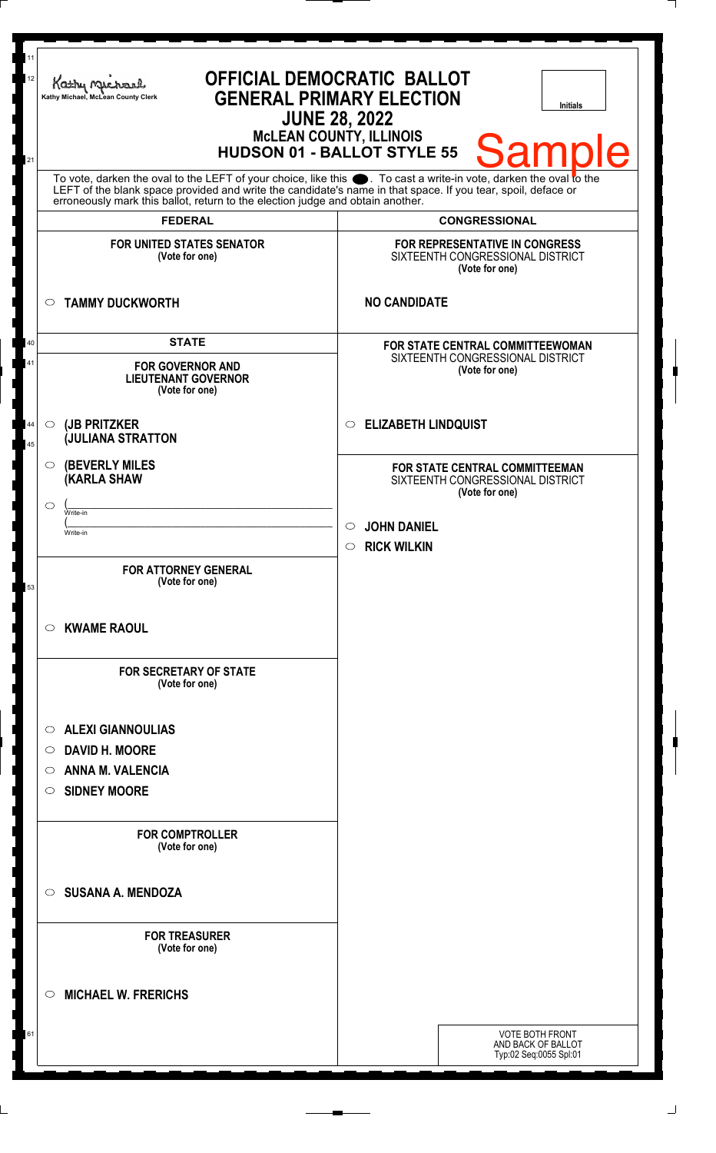| 11<br>12                                                                                                                                                                                                                                                                   | Kathy i<br><b>GENERAL PRIMARY ELECTION</b><br>Kathy Michael, McLean County Clerk<br><b>JUNE 28, 2022</b> | <b>OFFICIAL DEMOCRATIC BALLOT</b><br><b>Initials</b><br><b>McLEAN COUNTY, ILLINOIS</b><br>Sample |
|----------------------------------------------------------------------------------------------------------------------------------------------------------------------------------------------------------------------------------------------------------------------------|----------------------------------------------------------------------------------------------------------|--------------------------------------------------------------------------------------------------|
| <b>HUDSON 01 - BALLOT STYLE 55</b><br>21<br>To vote, darken the oval to the LEFT of your choice, like this section To cast a write-in vote, darken the oval to the LEFT of the blank space provided and write the candidate's name in that space. If you tear, spoil, defa |                                                                                                          |                                                                                                  |
|                                                                                                                                                                                                                                                                            | erroneously mark this ballot, return to the election judge and obtain another.<br><b>FEDERAL</b>         | <b>CONGRESSIONAL</b>                                                                             |
|                                                                                                                                                                                                                                                                            | <b>FOR UNITED STATES SENATOR</b><br>(Vote for one)                                                       | FOR REPRESENTATIVE IN CONGRESS<br>SIXTEENTH CONGRESSIONAL DISTRICT<br>(Vote for one)             |
|                                                                                                                                                                                                                                                                            | <b>TAMMY DUCKWORTH</b><br>$\circ$                                                                        | <b>NO CANDIDATE</b>                                                                              |
| 40<br>41                                                                                                                                                                                                                                                                   | <b>STATE</b><br><b>FOR GOVERNOR AND</b><br><b>LIEUTENANT GOVERNOR</b><br>(Vote for one)                  | FOR STATE CENTRAL COMMITTEEWOMAN<br>SIXTEENTH CONGRESSIONAL DISTRICT<br>(Vote for one)           |
| 44<br>45                                                                                                                                                                                                                                                                   | (JB PRITZKER<br>$\circ$<br><b>JULIANA STRATTON</b>                                                       | <b>ELIZABETH LINDQUIST</b><br>$\circ$                                                            |
|                                                                                                                                                                                                                                                                            | <b>(BEVERLY MILES)</b><br>$\circ$<br><b>(KARLA SHAW</b><br>$\circ$                                       | FOR STATE CENTRAL COMMITTEEMAN<br>SIXTEENTH CONGRESSIONAL DISTRICT<br>(Vote for one)             |
|                                                                                                                                                                                                                                                                            | Write-in<br>Write-in                                                                                     | <b>JOHN DANIEL</b><br>$\circ$<br>$\circ$ RICK WILKIN                                             |
| 53                                                                                                                                                                                                                                                                         | <b>FOR ATTORNEY GENERAL</b><br>(Vote for one)                                                            |                                                                                                  |
|                                                                                                                                                                                                                                                                            | <b>KWAME RAOUL</b><br>$\circ$                                                                            |                                                                                                  |
|                                                                                                                                                                                                                                                                            | <b>FOR SECRETARY OF STATE</b><br>(Vote for one)                                                          |                                                                                                  |
|                                                                                                                                                                                                                                                                            | <b>ALEXI GIANNOULIAS</b><br>$\circ$                                                                      |                                                                                                  |
|                                                                                                                                                                                                                                                                            | <b>DAVID H. MOORE</b><br>$\circ$<br><b>ANNA M. VALENCIA</b><br>$\circ$                                   |                                                                                                  |
|                                                                                                                                                                                                                                                                            | <b>SIDNEY MOORE</b><br>$\circ$                                                                           |                                                                                                  |
|                                                                                                                                                                                                                                                                            | <b>FOR COMPTROLLER</b><br>(Vote for one)                                                                 |                                                                                                  |
|                                                                                                                                                                                                                                                                            | <b>SUSANA A. MENDOZA</b><br>◯                                                                            |                                                                                                  |
|                                                                                                                                                                                                                                                                            | <b>FOR TREASURER</b><br>(Vote for one)                                                                   |                                                                                                  |
|                                                                                                                                                                                                                                                                            | <b>MICHAEL W. FRERICHS</b><br>$\circ$                                                                    |                                                                                                  |
| 0 I                                                                                                                                                                                                                                                                        |                                                                                                          | VOTE BOTH FRONT<br>AND BACK OF BALLOT<br>Typ:02 Seq:0055 Spl:01                                  |
|                                                                                                                                                                                                                                                                            |                                                                                                          |                                                                                                  |